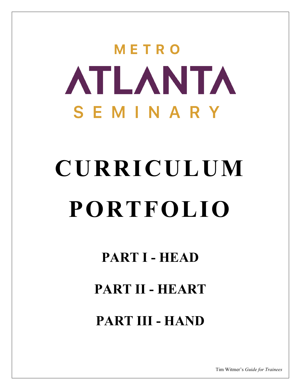# METRO **ATLANTA** SEMINARY

# CURRICULUM PORTFOLIO

# PART I - HEAD

# PART II - HEART

# PART III - HAND

Tim Witmer's Guide for Trainees

l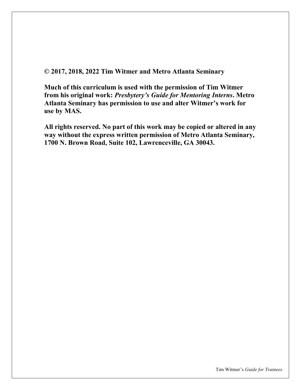© 2017, 2018, 2022 Tim Witmer and Metro Atlanta Seminary

Much of this curriculum is used with the permission of Tim Witmer from his original work: Presbytery's Guide for Mentoring Interns. Metro Atlanta Seminary has permission to use and alter Witmer's work for use by MAS.

All rights reserved. No part of this work may be copied or altered in any way without the express written permission of Metro Atlanta Seminary, 1700 N. Brown Road, Suite 102, Lawrenceville, GA 30043.

l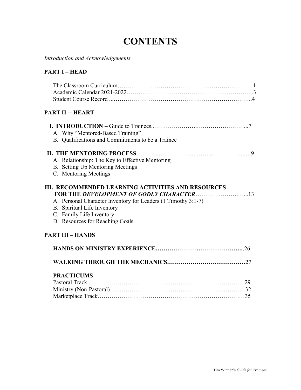# **CONTENTS**

Introduction and Acknowledgements

# PART I – HEAD

| <b>PART II -- HEART</b>                                                                                                                                                                                                  |
|--------------------------------------------------------------------------------------------------------------------------------------------------------------------------------------------------------------------------|
| A. Why "Mentored-Based Training"<br>B. Qualifications and Commitments to be a Trainee                                                                                                                                    |
|                                                                                                                                                                                                                          |
| A. Relationship: The Key to Effective Mentoring                                                                                                                                                                          |
| B. Setting Up Mentoring Meetings                                                                                                                                                                                         |
| C. Mentoring Meetings                                                                                                                                                                                                    |
| <b>III. RECOMMENDED LEARNING ACTIVITIES AND RESOURCES</b><br>A. Personal Character Inventory for Leaders (1 Timothy 3:1-7)<br>B. Spiritual Life Inventory<br>C. Family Life Inventory<br>D. Resources for Reaching Goals |
| <b>PART III - HANDS</b>                                                                                                                                                                                                  |
|                                                                                                                                                                                                                          |
|                                                                                                                                                                                                                          |
| <b>PRACTICUMS</b>                                                                                                                                                                                                        |

l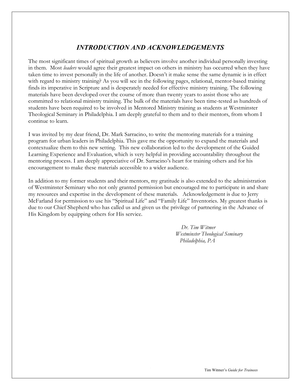# INTRODUCTION AND ACKNOWLEDGEMENTS

The most significant times of spiritual growth as believers involve another individual personally investing in them. Most *leaders* would agree their greatest impact on others in ministry has occurred when they have taken time to invest personally in the life of another. Doesn't it make sense the same dynamic is in effect with regard to ministry training? As you will see in the following pages, relational, mentor-based training finds its imperative in Scripture and is desperately needed for effective ministry training. The following materials have been developed over the course of more than twenty years to assist those who are committed to relational ministry training. The bulk of the materials have been time-tested as hundreds of students have been required to be involved in Mentored Ministry training as students at Westminster Theological Seminary in Philadelphia. I am deeply grateful to them and to their mentors, from whom I continue to learn.

I was invited by my dear friend, Dr. Mark Sarracino, to write the mentoring materials for a training program for urban leaders in Philadelphia. This gave me the opportunity to expand the materials and contextualize them to this new setting. This new collaboration led to the development of the Guided Learning Experience and Evaluation, which is very helpful in providing accountability throughout the mentoring process. I am deeply appreciative of Dr. Sarracino's heart for training others and for his encouragement to make these materials accessible to a wider audience.

In addition to my former students and their mentors, my gratitude is also extended to the administration of Westminster Seminary who not only granted permission but encouraged me to participate in and share my resources and expertise in the development of these materials. Acknowledgement is due to Jerry McFarland for permission to use his "Spiritual Life" and "Family Life" Inventories. My greatest thanks is due to our Chief Shepherd who has called us and given us the privilege of partnering in the Advance of His Kingdom by equipping others for His service.

> Dr. Tim Witmer Westminster Theological Seminary Philadelphia, PA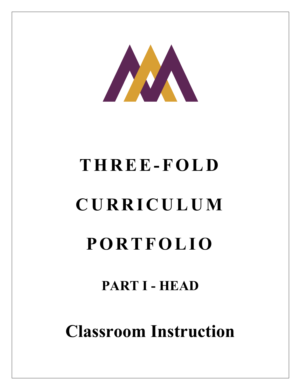

# T H R E E - F O L D C U R R I C U L U M

# **PORTFOLIO**

# PART I - HEAD

Classroom Instruction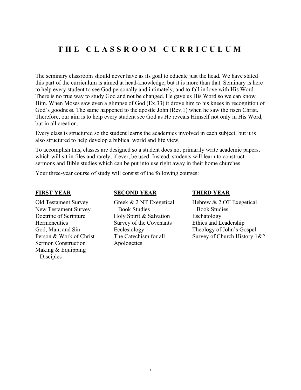# T H E C L A S S R O O M C U R R I C U L U M

The seminary classroom should never have as its goal to educate just the head. We have stated this part of the curriculum is aimed at head-knowledge, but it is more than that. Seminary is here to help every student to see God personally and intimately, and to fall in love with His Word. There is no true way to study God and not be changed. He gave us His Word so we can know Him. When Moses saw even a glimpse of God (Ex.33) it drove him to his knees in recognition of God's goodness. The same happened to the apostle John (Rev.1) when he saw the risen Christ. Therefore, our aim is to help every student see God as He reveals Himself not only in His Word, but in all creation.

Every class is structured so the student learns the academics involved in each subject, but it is also structured to help develop a biblical world and life view.

To accomplish this, classes are designed so a student does not primarily write academic papers, which will sit in files and rarely, if ever, be used. Instead, students will learn to construct sermons and Bible studies which can be put into use right away in their home churches.

Your three-year course of study will consist of the following courses:

#### FIRST YEAR

Old Testament Survey New Testament Survey Doctrine of Scripture **Hermeneutics** God, Man, and Sin Person & Work of Christ Sermon Construction Making & Equipping Disciples

#### SECOND YEAR

Greek & 2 NT Exegetical Book Studies Holy Spirit & Salvation Survey of the Covenants Ecclesiology The Catechism for all Apologetics

#### THIRD YEAR

Hebrew & 2 OT Exegetical Book Studies Eschatology Ethics and Leadership Theology of John's Gospel Survey of Church History 1&2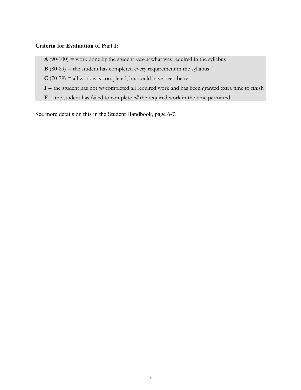### Criteria for Evaluation of Part I:

 $\mathbf{A}$  (90-100) = work done by the student *exceeds* what was required in the syllabus

 $\mathbf{B}$  (80-89) = the student has completed every requirement in the syllabus

 $C(70-79)$  = all work was completed, but could have been better

 $I =$  the student has not *yet* completed all required work and has been granted extra time to finish

 **= the student has failed to complete** *all* **the required work in the time permitted** 

See more details on this in the Student Handbook, page 6-7.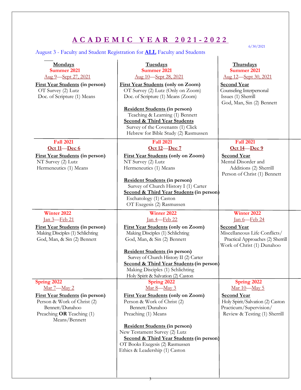# A C A D E M I C Y E A R 2 0 2 1 - 2 0 2 2

# August 3 - Faculty and Student Registration for ALL Faculty and Students

6/30/2021

| <b>Mondays</b><br><b>Summer 2021</b><br>Aug 9-Sept 27, 2021                                                                            | <b>Tuesdays</b><br><b>Summer 2021</b><br>Aug 10-Sept 28, 2021                                                                                                                                                                                                                                                    | <b>Thursdays</b><br><b>Summer 2021</b><br>Aug 12-Sept 30, 2021                                                         |
|----------------------------------------------------------------------------------------------------------------------------------------|------------------------------------------------------------------------------------------------------------------------------------------------------------------------------------------------------------------------------------------------------------------------------------------------------------------|------------------------------------------------------------------------------------------------------------------------|
| <b>First Year Students (in person)</b><br>OT Survey (2) Lutz<br>Doc. of Scripture (1) Means                                            | <b>First Year Students (only on Zoom)</b><br>OT Survey (2) Lutz (Only on Zoom)<br>Doc. of Scripture (1) Means (Zoom)<br>Resident Students (in person)<br>Teaching & Learning (1) Bennett<br><b>Second &amp; Third Year Students</b><br>Survey of the Covenants (1) Click<br>Hebrew for Bible Study (2) Rasmussen | <b>Second Year</b><br>Counseling Interpersonal<br>Issues (1) Sherrill<br>God, Man, Sin (2) Bennett                     |
| <b>Fall 2021</b>                                                                                                                       | <b>Fall 2021</b>                                                                                                                                                                                                                                                                                                 | <b>Fall 2021</b>                                                                                                       |
| Oct 11-Dec 6<br><b>First Year Students (in person)</b><br>NT Survey (2) Lutz<br>Hermeneutics (1) Means                                 | Oct 12-Dec 7<br><b>First Year Students (only on Zoom)</b><br>NT Survey (2) Lutz<br>Hermeneutics (1) Means                                                                                                                                                                                                        | Oct 14 – Dec 9<br><b>Second Year</b><br>Mental Disorder and<br>Additions (2) Sherrill<br>Person of Christ (1) Bennett  |
|                                                                                                                                        | Resident Students (in person)<br>Survey of Church History I (1) Carter<br><b>Second &amp; Third Year Students (in person)</b><br>Eschatology (1) Caston<br>OT Exegesis (2) Rasmussen                                                                                                                             |                                                                                                                        |
| Winter 2022<br><u>Ian 3—Feb 21</u>                                                                                                     | Winter 2022<br><u>Ian 4 Feb 22</u>                                                                                                                                                                                                                                                                               | <b>Winter 2022</b><br><u>Ian 6-Feb 24</u>                                                                              |
| <b>First Year Students (in person)</b><br>Making Disciples (1) Schlichting<br>God, Man, & Sin (2) Bennett                              | <b>First Year Students (only on Zoom)</b><br>Making Disciples (1) Schlichting<br>God, Man, & Sin (2) Bennett                                                                                                                                                                                                     | <b>Second Year</b><br>Miscellaneous Life Conflicts/<br>Practical Approaches (2) Sherrill<br>Work of Christ (1) Dunahoo |
|                                                                                                                                        | <b>Resident Students (in person)</b><br>Survey of Church History II (2) Carter<br>Second & Third Year Students (in person)<br>Making Disciples (1) Schlichting<br>Holy Spirit & Salvation (2) Caston                                                                                                             |                                                                                                                        |
| Spring 2022<br>Mar 7-May 2                                                                                                             | Spring 2022<br>Mar 8-May 3                                                                                                                                                                                                                                                                                       | Spring 2022<br>Mar 10-May 5                                                                                            |
| <b>First Year Students (in person)</b><br>Person & Work of Christ (2)<br>Bennett/Dunahoo<br>Preaching OR Teaching (1)<br>Means/Bennett | <b>First Year Students (only on Zoom)</b><br>Person & Work of Christ (2)<br>Bennett/Dunahoo<br>Preaching (1) Means                                                                                                                                                                                               | <b>Second Year</b><br>Holy Spirit/Salvation (2) Caston<br>Practicum/Supervision/<br>Review & Testing (1) Sherrill      |
|                                                                                                                                        | <b>Resident Students (in person)</b><br>New Testament Survey (2) Lutz<br>Second & Third Year Students (in person)<br>OT Books Exegesis (2) Rasmussen<br>Ethics & Leadership (1) Caston                                                                                                                           |                                                                                                                        |

3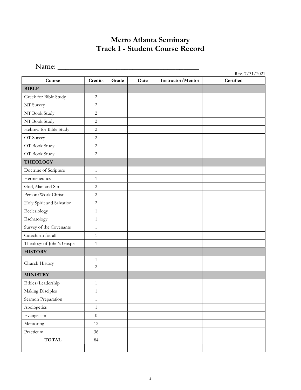# Metro Atlanta Seminary Track I - Student Course Record

Name: \_\_\_\_\_\_\_\_\_\_\_\_\_\_\_\_\_\_\_\_\_\_\_\_\_\_\_\_\_\_\_\_\_\_\_\_

| Course                    | <b>Credits</b>   | Grade | Date | Instructor/Mentor | Rev. 7/31/2021<br>Certified |
|---------------------------|------------------|-------|------|-------------------|-----------------------------|
| <b>BIBLE</b>              |                  |       |      |                   |                             |
| Greek for Bible Study     | $\sqrt{2}$       |       |      |                   |                             |
| NT Survey                 | $\sqrt{2}$       |       |      |                   |                             |
| NT Book Study             | $\sqrt{2}$       |       |      |                   |                             |
| NT Book Study             | $\sqrt{2}$       |       |      |                   |                             |
| Hebrew for Bible Study    | $\sqrt{2}$       |       |      |                   |                             |
| OT Survey                 | $\sqrt{2}$       |       |      |                   |                             |
| OT Book Study             | $\overline{c}$   |       |      |                   |                             |
| OT Book Study             | $\overline{c}$   |       |      |                   |                             |
| <b>THEOLOGY</b>           |                  |       |      |                   |                             |
| Doctrine of Scripture     | $\mathbf{1}$     |       |      |                   |                             |
| Hermeneutics              | $\mathbf{1}$     |       |      |                   |                             |
| God, Man and Sin          | $\overline{2}$   |       |      |                   |                             |
| Person/Work Christ        | $\overline{2}$   |       |      |                   |                             |
| Holy Spirit and Salvation | $\overline{2}$   |       |      |                   |                             |
| Ecclesiology              | $\mathbf{1}$     |       |      |                   |                             |
| Eschatology               | $\mathbf{1}$     |       |      |                   |                             |
| Survey of the Covenants   | $\mathbf{1}$     |       |      |                   |                             |
| Catechism for all         | $\mathbf{1}$     |       |      |                   |                             |
| Theology of John's Gospel | $\mathbf{1}$     |       |      |                   |                             |
| <b>HISTORY</b>            |                  |       |      |                   |                             |
| Church History            | $\mathbf{1}$     |       |      |                   |                             |
|                           | 2                |       |      |                   |                             |
| <b>MINISTRY</b>           |                  |       |      |                   |                             |
| Ethics/Leadership         | $\mathbf{1}$     |       |      |                   |                             |
| Making Disciples          | $\mathbf{1}$     |       |      |                   |                             |
| Sermon Preparation        | $\mathbf{1}$     |       |      |                   |                             |
| Apologetics               | $\,1$            |       |      |                   |                             |
| Evangelism                | $\boldsymbol{0}$ |       |      |                   |                             |
| Mentoring                 | 12               |       |      |                   |                             |
| Practicum                 | 36               |       |      |                   |                             |
| <b>TOTAL</b>              | $\rm 84$         |       |      |                   |                             |
|                           |                  |       |      |                   |                             |

4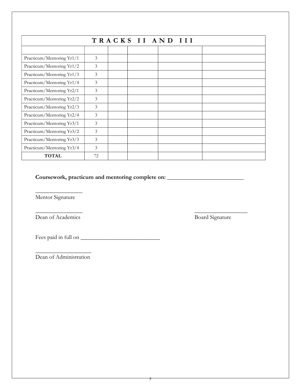| TRACKS II AND III         |    |  |  |  |  |  |  |
|---------------------------|----|--|--|--|--|--|--|
|                           |    |  |  |  |  |  |  |
| Practicum/Mentoring Yr1/1 | 3  |  |  |  |  |  |  |
| Practicum/Mentoring Yr1/2 | 3  |  |  |  |  |  |  |
| Practicum/Mentoring Yr1/3 | 3  |  |  |  |  |  |  |
| Practicum/Mentoring Yr1/4 | 3  |  |  |  |  |  |  |
| Practicum/Mentoring Yr2/1 | 3  |  |  |  |  |  |  |
| Practicum/Mentoring Yr2/2 | 3  |  |  |  |  |  |  |
| Practicum/Mentoring Yr2/3 | 3  |  |  |  |  |  |  |
| Practicum/Mentoring Yr2/4 | 3  |  |  |  |  |  |  |
| Practicum/Mentoring Yr3/1 | 3  |  |  |  |  |  |  |
| Practicum/Mentoring Yr3/2 | 3  |  |  |  |  |  |  |
| Practicum/Mentoring Yr3/3 | 3  |  |  |  |  |  |  |
| Practicum/Mentoring Yr3/4 | 3  |  |  |  |  |  |  |
| <b>TOTAL</b>              | 72 |  |  |  |  |  |  |

 $\frac{1}{\sqrt{2}}$  ,  $\frac{1}{\sqrt{2}}$  ,  $\frac{1}{\sqrt{2}}$  ,  $\frac{1}{\sqrt{2}}$  ,  $\frac{1}{\sqrt{2}}$  ,  $\frac{1}{\sqrt{2}}$  ,  $\frac{1}{\sqrt{2}}$  ,  $\frac{1}{\sqrt{2}}$  ,  $\frac{1}{\sqrt{2}}$  ,  $\frac{1}{\sqrt{2}}$  ,  $\frac{1}{\sqrt{2}}$  ,  $\frac{1}{\sqrt{2}}$  ,  $\frac{1}{\sqrt{2}}$  ,  $\frac{1}{\sqrt{2}}$  ,  $\frac{1}{\sqrt{2}}$ 

# Coursework, practicum and mentoring complete on: \_\_\_\_\_\_\_\_\_\_\_\_\_\_\_\_\_\_\_\_\_\_\_\_\_\_\_\_\_\_\_

 $\overline{\phantom{a}}$  , where  $\overline{\phantom{a}}$ Mentor Signature

Dean of Academics Board Signature

Fees paid in full on \_\_\_\_\_\_\_\_\_\_\_\_\_\_\_\_\_\_\_\_\_\_\_\_\_\_\_

\_\_\_\_\_\_\_\_\_\_\_\_\_\_\_\_\_\_\_ Dean of Administration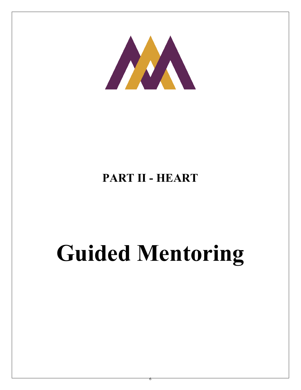

# PART II - HEART

# Guided Mentoring

6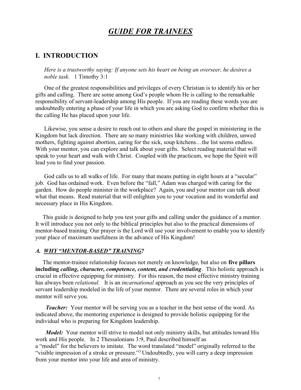# GUIDE FOR TRAINEES

# I. INTRODUCTION

Here is a trustworthy saying: If anyone sets his heart on being an overseer, he desires a noble task. 1 Timothy 3:1

 One of the greatest responsibilities and privileges of every Christian is to identify his or her gifts and calling. There are some among God's people whom He is calling to the remarkable responsibility of servant-leadership among His people. If you are reading these words you are undoubtedly entering a phase of your life in which you are asking God to confirm whether this is the calling He has placed upon your life.

 Likewise, you sense a desire to reach out to others and share the gospel in ministering in the Kingdom but lack direction. There are so many ministries like working with children, unwed mothers, fighting against abortion, caring for the sick, soup kitchens…the list seems endless. With your mentor, you can explore and talk about your gifts. Select reading material that will speak to your heart and walk with Christ. Coupled with the practicum, we hope the Spirit will lead you to find your passion.

God calls us to all walks of life. For many that means putting in eight hours at a "secular" job. God has ordained work. Even before the "fall," Adam was charged with caring for the garden. How do people minister in the workplace? Again, you and your mentor can talk about what that means. Read material that will enlighten you to your vocation and its wonderful and necessary place in His Kingdom.

 This guide is designed to help you test your gifts and calling under the guidance of a mentor. It will introduce you not only to the biblical principles but also to the practical dimensions of mentor-based training. Our prayer is the Lord will use your involvement to enable you to identify your place of maximum usefulness in the advance of His Kingdom!

#### A. WHY "MENTOR-BASED" TRAINING?

The mentor-trainee relationship focuses not merely on knowledge, but also on five pillars including calling, character, competence, content, and credentialing. This holistic approach is crucial in effective equipping for ministry. For this reason, the most effective ministry training has always been *relational.* It is an *incarnational* approach as you see the very principles of servant leadership modeled in the life of your mentor. There are several roles in which your mentor will serve you.

Teacher: Your mentor will be serving you as a teacher in the best sense of the word. As indicated above, the mentoring experience is designed to provide holistic equipping for the individual who is preparing for Kingdom leadership.

Model: Your mentor will strive to model not only ministry skills, but attitudes toward His work and His people. In 2 Thessalonians 3:9, Paul described himself as a "model" for the believers to imitate. The word translated "model" originally referred to the "visible impression of a stroke or pressure."<sup>3</sup> Undoubtedly, you will carry a deep impression from your mentor into your life and area of ministry.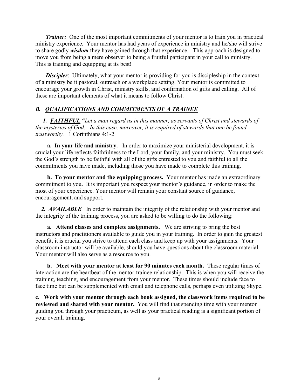**Trainer:** One of the most important commitments of your mentor is to train you in practical ministry experience. Your mentor has had years of experience in ministry and he/she will strive to share godly *wisdom* they have gained through that-experience. This approach is designed to move you from being a mere observer to being a fruitful participant in your call to ministry. This is training and equipping at its best!

**Discipler**: Ultimately, what your mentor is providing for you is discipleship in the context of a ministry be it pastoral, outreach or a workplace setting. Your mentor is committed to encourage your growth in Christ, ministry skills, and confirmation of gifts and calling. All of these are important elements of what it means to follow Christ.

# B. *QUALIFICATIONS AND COMMITMENTS OF A TRAINEE*

1. **FAITHFUL** "Let a man regard us in this manner, as servants of Christ and stewards of the mysteries of God. In this case, moreover, it is required of stewards that one be found trustworthy. 1 Corinthians 4:1-2

 a. In your life and ministry. In order to maximize your ministerial development, it is crucial your life reflects faithfulness to the Lord, your family, and your ministry. You must seek the God's strength to be faithful with all of the gifts entrusted to you and faithful to all the commitments you have made, including those you have made to complete this training.

b. To your mentor and the equipping process. Your mentor has made an extraordinary commitment to you. It is important you respect your mentor's guidance, in order to make the most of your experience. Your mentor will remain your constant source of guidance, encouragement, and support.

2. AVAILABLE In order to maintain the integrity of the relationship with your mentor and the integrity of the training process, you are asked to be willing to do the following:

 a. Attend classes and complete assignments. We are striving to bring the best instructors and practitioners available to guide you in your training. In order to gain the greatest benefit, it is crucial you strive to attend each class and keep up with your assignments. Your classroom instructor will be available, should you have questions about the classroom material. Your mentor will also serve as a resource to you.

 b. Meet with your mentor at least for 90 minutes each month. These regular times of interaction are the heartbeat of the mentor-trainee relationship. This is when you will receive the training, teaching, and encouragement from your mentor. These times should include face to face time but can be supplemented with email and telephone calls, perhaps even utilizing Skype.

c. Work with your mentor through each book assigned, the classwork items required to be reviewed and shared with your mentor. You will find that spending time with your mentor guiding you through your practicum, as well as your practical reading is a significant portion of your overall training.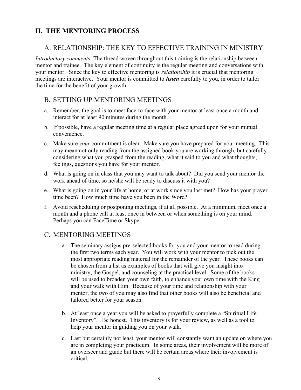# II. THE MENTORING PROCESS

# A. RELATIONSHIP: THE KEY TO EFFECTIVE TRAINING IN MINISTRY

Introductory comments: The thread woven throughout this training is the relationship between mentor and trainee. The key element of continuity is the regular meeting and conversations with your mentor. Since the key to effective mentoring is relationship it is crucial that mentoring meetings are interactive. Your mentor is committed to *listen* carefully to you, in order to tailor the time for the benefit of your growth.

# B. SETTING UP MENTORING MEETINGS

- a. Remember, the goal is to meet face-to-face with your mentor at least once a month and interact for at least 90 minutes during the month.
- b. If possible, have a regular meeting time at a regular place agreed upon for your mutual convenience.
- c. Make sure your commitment is clear. Make sure you have prepared for your meeting. This may mean not only reading from the assigned book you are working through, but carefully considering what you grasped from the reading, what it said to you and what thoughts, feelings, questions you have for your mentor.
- d. What is going on in class that you may want to talk about? Did you send your mentor the work ahead of time, so he/she will be ready to discuss it with you?
- e. What is going on in your life at home, or at work since you last met? How has your prayer time been? How much time have you been in the Word?
- f. Avoid rescheduling or postponing meetings, if at all possible. At a minimum, meet once a month and a phone call at least once in between or when something is on your mind. Perhaps you can FaceTime or Skype.

# C. MENTORING MEETINGS

- a. The seminary assigns pre-selected books for you and your mentor to read during the first two terms each year. You will work with your mentor to pick out the most appropriate reading material for the remainder of the year. These books can be chosen from a list as examples of books that will give you insight into ministry, the Gospel, and counseling at the practical level. Some of the books will be used to broaden your own faith, to enhance your own time with the King and your walk with Him. Because of your time and relationship with your mentor, the two of you may also find that other books will also be beneficial and tailored better for your season.
- b. At least once a year you will be asked to prayerfully complete a "Spiritual Life Inventory". Be honest. This inventory is for your review, as well as a tool to help your mentor in guiding you on your walk.
- c. Last but certainly not least, your mentor will constantly want an update on where you are in completing your practicum. In some areas, their involvement will be more of an overseer and guide but there will be certain areas where their involvement is critical.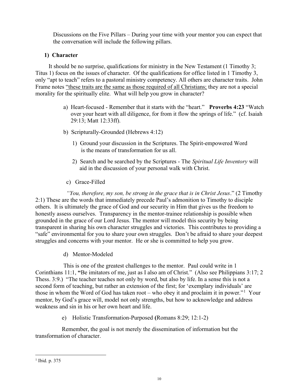Discussions on the Five Pillars – During your time with your mentor you can expect that the conversation will include the following pillars.

# 1) Character

 It should be no surprise, qualifications for ministry in the New Testament (1 Timothy 3; Titus 1) focus on the issues of character. Of the qualifications for office listed in 1 Timothy 3, only "apt to teach" refers to a pastoral ministry competency. All others are character traits. John Frame notes "these traits are the same as those required of all Christians; they are not a special morality for the spiritually elite. What will help you grow in character?

- a) Heart-focused Remember that it starts with the "heart." Proverbs 4:23 "Watch over your heart with all diligence, for from it flow the springs of life." (cf. Isaiah 29:13; Matt 12:33ff).
- b) Scripturally-Grounded (Hebrews 4:12)
	- 1) Ground your discussion in the Scriptures. The Spirit-empowered Word is the means of transformation for us all.
	- 2) Search and be searched by the Scriptures The Spiritual Life Inventory will aid in the discussion of your personal walk with Christ.
- c) Grace-Filled

 "You, therefore, my son, be strong in the grace that is in Christ Jesus." (2 Timothy 2:1) These are the words that immediately precede Paul's admonition to Timothy to disciple others. It is ultimately the grace of God and our security in Him that gives us the freedom to honestly assess ourselves. Transparency in the mentor-trainee relationship is possible when grounded in the grace of our Lord Jesus. The mentor will model this security by being transparent in sharing his own character struggles and victories. This contributes to providing a "safe" environmental for you to share your own struggles. Don't be afraid to share your deepest struggles and concerns with your mentor. He or she is committed to help you grow.

d) Mentor-Modeled

 This is one of the greatest challenges to the mentor. Paul could write in 1 Corinthians 11:1, "Be imitators of me, just as I also am of Christ." (Also see Philippians 3:17; 2 Thess. 3:9.) "The teacher teaches not only by word, but also by life. In a sense this is not a second form of teaching, but rather an extension of the first; for 'exemplary individuals' are those in whom the Word of God has taken root – who obey it and proclaim it in power."<sup>1</sup> Your mentor, by God's grace will, model not only strengths, but how to acknowledge and address weakness and sin in his or her own heart and life.

e) Holistic Transformation-Purposed (Romans 8:29; 12:1-2)

 Remember, the goal is not merely the dissemination of information but the transformation of character.

<sup>1</sup> Ibid. p. 375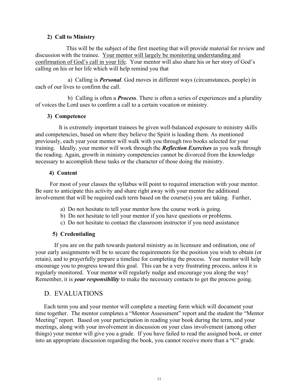### 2) Call to Ministry

 This will be the subject of the first meeting that will provide material for review and discussion with the trainee. Your mentor will largely be monitoring understanding and confirmation of God's call in your life. Your mentor will also share his or her story of God's calling on his or her life which will help remind you that

 a) Calling is Personal. God moves in different ways (circumstances, people) in each of our lives to confirm the call.

b) Calling is often a **Process**. There is often a series of experiences and a plurality of voices the Lord uses to confirm a call to a certain vocation or ministry.

#### 3) Competence

 It is extremely important trainees be given well-balanced exposure to ministry skills and competencies, based on where they believe the Spirit is leading them. As mentioned previously, each year your mentor will walk with you through two books selected for your training. Ideally, your mentor will work through the **Reflection Exercises** as you walk through the reading. Again, growth in ministry competencies cannot be divorced from the knowledge necessary to accomplish these tasks or the character of those doing the ministry.

## 4) Content

 For most of your classes the syllabus will point to required interaction with your mentor. Be sure to anticipate this activity and share right away with your mentor the additional involvement that will be required each term based on the course(s) you are taking. Further,

- a) Do not hesitate to tell your mentor how the course work is going.
- b) Do not hesitate to tell your mentor if you have questions or problems.
- c) Do not hesitate to contact the classroom instructor if you need assistance

# 5) Credentialing

 If you are on the path towards pastoral ministry as in licensure and ordination, one of your early assignments will be to secure the requirements for the position you wish to obtain (or retain), and to prayerfully prepare a timeline for completing the process. Your mentor will help encourage you to progress toward this goal. This can be a very frustrating process, unless it is regularly monitored. Your mentor will regularly nudge and encourage you along the way! Remember, it is *your responsibility* to make the necessary contacts to get the process going.

# D. EVALUATIONS

 Each term you and your mentor will complete a meeting form which will document your time together. The mentor completes a "Mentor Assessment" report and the student the "Mentor Meeting" report. Based on your participation in reading your book during the term, and your meetings, along with your involvement in discussion on your class involvement (among other things) your mentor will give you a grade. If you have failed to read the assigned book, or enter into an appropriate discussion regarding the book, you cannot receive more than a "C" grade.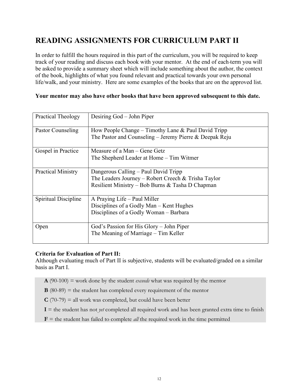# READING ASSIGNMENTS FOR CURRICULUM PART II

In order to fulfill the hours required in this part of the curriculum, you will be required to keep track of your reading and discuss each book with your mentor. At the end of each term you will be asked to provide a summary sheet which will include something about the author, the context of the book, highlights of what you found relevant and practical towards your own personal life/walk, and your ministry. Here are some examples of the books that are on the approved list.

## Your mentor may also have other books that have been approved subsequent to this date.

| <b>Practical Theology</b> | Desiring God – John Piper                                                                                                                       |
|---------------------------|-------------------------------------------------------------------------------------------------------------------------------------------------|
| Pastor Counseling         | How People Change – Timothy Lane & Paul David Tripp<br>The Pastor and Counseling – Jeremy Pierre & Deepak Reju                                  |
| Gospel in Practice        | Measure of a Man – Gene Getz<br>The Shepherd Leader at Home – Tim Witmer                                                                        |
| <b>Practical Ministry</b> | Dangerous Calling – Paul David Tripp<br>The Leaders Journey – Robert Creech & Trisha Taylor<br>Resilient Ministry – Bob Burns & Tasha D Chapman |
| Spiritual Discipline      | A Praying Life – Paul Miller<br>Disciplines of a Godly Man – Kent Hughes<br>Disciplines of a Godly Woman – Barbara                              |
| Open                      | God's Passion for His Glory - John Piper<br>The Meaning of Marriage – Tim Keller                                                                |

#### Criteria for Evaluation of Part II:

Although evaluating much of Part II is subjective, students will be evaluated/graded on a similar basis as Part I.

- $\mathbf{A}$  (90-100) = work done by the student *exceeds* what was required by the mentor
- $\bf{B}$  (80-89) = the student has completed every requirement of the mentor
- $C(70-79)$  = all work was completed, but could have been better
- $I =$  the student has not *yet* completed all required work and has been granted extra time to finish
- **= the student has failed to complete** *all* **the required work in the time permitted**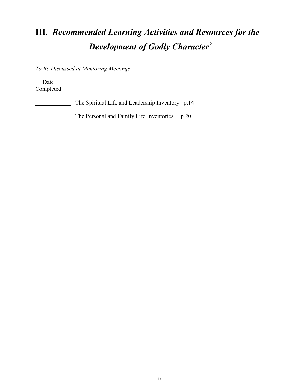# III. Recommended Learning Activities and Resources for the Development of Godly Character<sup>2</sup>

To Be Discussed at Mentoring Meetings

 Date Completed

| The Spiritual Life and Leadership Inventory p.14 |  |
|--------------------------------------------------|--|
| The Personal and Family Life Inventories p.20    |  |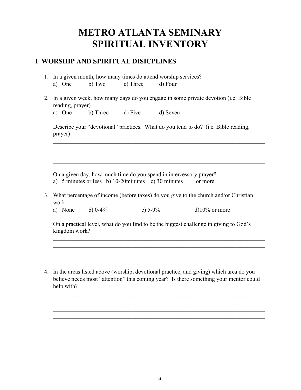# METRO ATLANTA SEMINARY SPIRITUAL INVENTORY

# I WORSHIP AND SPIRITUAL DISICPLINES

- 1. In a given month, how many times do attend worship services? a) One b) Two c) Three d) Four
- 2. In a given week, how many days do you engage in some private devotion (i.e. Bible reading, prayer) a) One b) Three d) Five d) Seven

Describe your "devotional" practices. What do you tend to do? (i.e. Bible reading, prayer)

 $\_$  , and the set of the set of the set of the set of the set of the set of the set of the set of the set of the set of the set of the set of the set of the set of the set of the set of the set of the set of the set of th

 $\_$  , and the set of the set of the set of the set of the set of the set of the set of the set of the set of the set of the set of the set of the set of the set of the set of the set of the set of the set of the set of th

On a given day, how much time do you spend in intercessory prayer?

- a) 5 minutes or less b) 10-20minutes c) 30 minutes or more
- 3. What percentage of income (before taxes) do you give to the church and/or Christian work
	- a) None b)  $0.4\%$  c)  $5.9\%$  d) $10\%$  or more

On a practical level, what do you find to be the biggest challenge in giving to God's kingdom work?

 $\_$  , and the set of the set of the set of the set of the set of the set of the set of the set of the set of the set of the set of the set of the set of the set of the set of the set of the set of the set of the set of th

 $\_$  , and the set of the set of the set of the set of the set of the set of the set of the set of the set of the set of the set of the set of the set of the set of the set of the set of the set of the set of the set of th

 $\_$  , and the set of the set of the set of the set of the set of the set of the set of the set of the set of the set of the set of the set of the set of the set of the set of the set of the set of the set of the set of th  $\_$  , and the set of the set of the set of the set of the set of the set of the set of the set of the set of the set of the set of the set of the set of the set of the set of the set of the set of the set of the set of th  $\_$  , and the set of the set of the set of the set of the set of the set of the set of the set of the set of the set of the set of the set of the set of the set of the set of the set of the set of the set of the set of th  $\_$  , and the set of the set of the set of the set of the set of the set of the set of the set of the set of the set of the set of the set of the set of the set of the set of the set of the set of the set of the set of th

4. In the areas listed above (worship, devotional practice, and giving) which area do you believe needs most "attention" this coming year? Is there something your mentor could help with?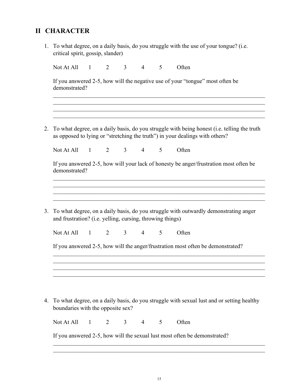# II CHARACTER

| 1. To what degree, on a daily basis, do you struggle with the use of your tongue? (i.e. |
|-----------------------------------------------------------------------------------------|
| critical spirit, gossip, slander)                                                       |

| Not At All                                                                                                     |          |                |                |                |   |                                                                                                                                                                             |
|----------------------------------------------------------------------------------------------------------------|----------|----------------|----------------|----------------|---|-----------------------------------------------------------------------------------------------------------------------------------------------------------------------------|
| demonstrated?                                                                                                  |          |                |                |                |   | If you answered 2-5, how will the negative use of your "tongue" most often be                                                                                               |
|                                                                                                                |          |                |                |                |   |                                                                                                                                                                             |
|                                                                                                                |          |                |                |                |   | To what degree, on a daily basis, do you struggle with being honest (i.e. telling the truth<br>as opposed to lying or "stretching the truth") in your dealings with others? |
| Not At All                                                                                                     | $\sim$ 1 | $\overline{2}$ | 3 <sup>7</sup> | $\overline{4}$ | 5 | Often                                                                                                                                                                       |
| demonstrated?                                                                                                  |          |                |                |                |   | If you answered 2-5, how will your lack of honesty be anger/frustration most often be                                                                                       |
|                                                                                                                |          |                |                |                |   |                                                                                                                                                                             |
|                                                                                                                |          |                |                |                |   | To what degree, on a daily basis, do you struggle with outwardly demonstrating anger                                                                                        |
|                                                                                                                |          | $\overline{2}$ | 3 <sup>7</sup> | $\overline{4}$ | 5 | Often                                                                                                                                                                       |
|                                                                                                                |          |                |                |                |   | If you answered 2-5, how will the anger/frustration most often be demonstrated?                                                                                             |
|                                                                                                                |          |                |                |                |   |                                                                                                                                                                             |
| and frustration? (i.e. yelling, cursing, throwing things)<br>Not At All 1<br>boundaries with the opposite sex? |          |                |                |                |   | To what degree, on a daily basis, do you struggle with sexual lust and or setting healthy                                                                                   |

If you answered 2-5, how will the sexual lust most often be demonstrated?

 $\_$  , and the set of the set of the set of the set of the set of the set of the set of the set of the set of the set of the set of the set of the set of the set of the set of the set of the set of the set of the set of th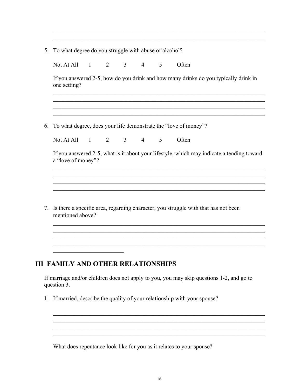|  |  |  |  | 5. To what degree do you struggle with abuse of alcohol? |
|--|--|--|--|----------------------------------------------------------|
|  |  |  |  |                                                          |

Not At All 1 2 3 4 5 Often

If you answered 2-5, how do you drink and how many drinks do you typically drink in one setting?

 $\_$  , and the set of the set of the set of the set of the set of the set of the set of the set of the set of the set of the set of the set of the set of the set of the set of the set of the set of the set of the set of th  $\_$  , and the contribution of the contribution of  $\mathcal{L}_\mathcal{A}$  , and the contribution of  $\mathcal{L}_\mathcal{A}$ 

 $\mathcal{L}_\mathcal{L} = \{ \mathcal{L}_\mathcal{L} = \{ \mathcal{L}_\mathcal{L} = \{ \mathcal{L}_\mathcal{L} = \{ \mathcal{L}_\mathcal{L} = \{ \mathcal{L}_\mathcal{L} = \{ \mathcal{L}_\mathcal{L} = \{ \mathcal{L}_\mathcal{L} = \{ \mathcal{L}_\mathcal{L} = \{ \mathcal{L}_\mathcal{L} = \{ \mathcal{L}_\mathcal{L} = \{ \mathcal{L}_\mathcal{L} = \{ \mathcal{L}_\mathcal{L} = \{ \mathcal{L}_\mathcal{L} = \{ \mathcal{L}_\mathcal{$ 

 $\_$  , and the set of the set of the set of the set of the set of the set of the set of the set of the set of the set of the set of the set of the set of the set of the set of the set of the set of the set of the set of th  $\_$  , and the set of the set of the set of the set of the set of the set of the set of the set of the set of the set of the set of the set of the set of the set of the set of the set of the set of the set of the set of th

6. To what degree, does your life demonstrate the "love of money"?

Not At All 1 2 3 4 5 Often

If you answered 2-5, what is it about your lifestyle, which may indicate a tending toward a "love of money"?

 $\_$  , and the set of the set of the set of the set of the set of the set of the set of the set of the set of the set of the set of the set of the set of the set of the set of the set of the set of the set of the set of th

 $\_$  , and the set of the set of the set of the set of the set of the set of the set of the set of the set of the set of the set of the set of the set of the set of the set of the set of the set of the set of the set of th

 $\mathcal{L}_\mathcal{L} = \{ \mathcal{L}_\mathcal{L} = \{ \mathcal{L}_\mathcal{L} = \{ \mathcal{L}_\mathcal{L} = \{ \mathcal{L}_\mathcal{L} = \{ \mathcal{L}_\mathcal{L} = \{ \mathcal{L}_\mathcal{L} = \{ \mathcal{L}_\mathcal{L} = \{ \mathcal{L}_\mathcal{L} = \{ \mathcal{L}_\mathcal{L} = \{ \mathcal{L}_\mathcal{L} = \{ \mathcal{L}_\mathcal{L} = \{ \mathcal{L}_\mathcal{L} = \{ \mathcal{L}_\mathcal{L} = \{ \mathcal{L}_\mathcal{$ 

7. Is there a specific area, regarding character, you struggle with that has not been mentioned above?

# III FAMILY AND OTHER RELATIONSHIPS

 $\overline{\phantom{a}}$  , which is a set of the set of the set of the set of the set of the set of the set of the set of the set of the set of the set of the set of the set of the set of the set of the set of the set of the set of th

If marriage and/or children does not apply to you, you may skip questions 1-2, and go to question 3.

1. If married, describe the quality of your relationship with your spouse?

What does repentance look like for you as it relates to your spouse?

 $\_$  , and the set of the set of the set of the set of the set of the set of the set of the set of the set of the set of the set of the set of the set of the set of the set of the set of the set of the set of the set of th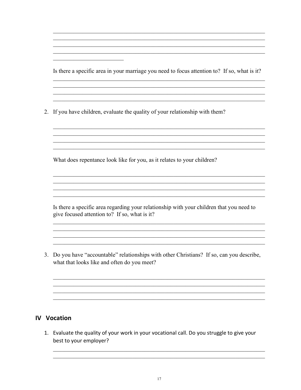Is there a specific area in your marriage you need to focus attention to? If so, what is it?

and the control of the control of the control of the control of the control of the control of the control of the <u> 1989 - Johann Stoff, amerikansk politiker (d. 1989)</u>

2. If you have children, evaluate the quality of your relationship with them?

What does repentance look like for you, as it relates to your children?

Is there a specific area regarding your relationship with your children that you need to give focused attention to? If so, what is it?

<u> 1989 - Johann Stoff, deutscher Stoffen und der Stoffen und der Stoffen und der Stoffen und der Stoffen und der</u> <u> 1989 - Johann Stoff, amerikansk politiker (d. 1989)</u>

3. Do you have "accountable" relationships with other Christians? If so, can you describe, what that looks like and often do you meet?

# **IV Vocation**

1. Evaluate the quality of your work in your vocational call. Do you struggle to give your best to your employer?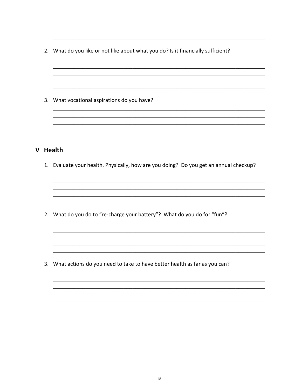2. What do you like or not like about what you do? Is it financially sufficient?

<u> 1989 - Johann John Stein, marwolaeth a brenin a brenin a brenin a brenin a brenin a brenin a brenin a brenin</u>

3. What vocational aspirations do you have?

# V Health

1. Evaluate your health. Physically, how are you doing? Do you get an annual checkup?

2. What do you do to "re-charge your battery"? What do you do for "fun"?

3. What actions do you need to take to have better health as far as you can?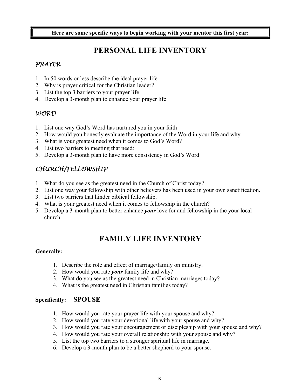Here are some specific ways to begin working with your mentor this first year:

# PERSONAL LIFE INVENTORY

# PRAYER

- 1. In 50 words or less describe the ideal prayer life
- 2. Why is prayer critical for the Christian leader?
- 3. List the top 3 barriers to your prayer life
- 4. Develop a 3-month plan to enhance your prayer life

# WORD

- 1. List one way God's Word has nurtured you in your faith
- 2. How would you honestly evaluate the importance of the Word in your life and why
- 3. What is your greatest need when it comes to God's Word?
- 4. List two barriers to meeting that need:
- 5. Develop a 3-month plan to have more consistency in God's Word

# CHURCH/FELLOWSHIP

- 1. What do you see as the greatest need in the Church of Christ today?
- 2. List one way your fellowship with other believers has been used in your own sanctification.
- 3. List two barriers that hinder biblical fellowship.
- 4. What is your greatest need when it comes to fellowship in the church?
- 5. Develop a 3-month plan to better enhance your love for and fellowship in the your local church.

# FAMILY LIFE INVENTORY

# Generally:

- 1. Describe the role and effect of marriage/family on ministry.
- 2. How would you rate *your* family life and why?
- 3. What do you see as the greatest need in Christian marriages today?
- 4. What is the greatest need in Christian families today?

# Specifically: SPOUSE

- 1. How would you rate your prayer life with your spouse and why?
- 2. How would you rate your devotional life with your spouse and why?
- 3. How would you rate your encouragement or discipleship with your spouse and why?
- 4. How would you rate your overall relationship with your spouse and why?
- 5. List the top two barriers to a stronger spiritual life in marriage.
- 6. Develop a 3-month plan to be a better shepherd to your spouse.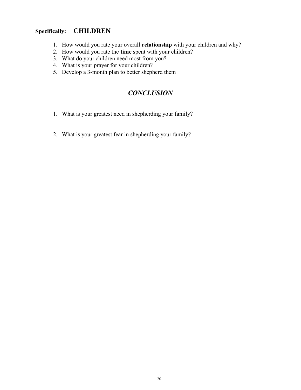# Specifically: CHILDREN

- 1. How would you rate your overall relationship with your children and why?
- 2. How would you rate the time spent with your children?
- 3. What do your children need most from you?
- 4. What is your prayer for your children?
- 5. Develop a 3-month plan to better shepherd them

# **CONCLUSION**

- 1. What is your greatest need in shepherding your family?
- 2. What is your greatest fear in shepherding your family?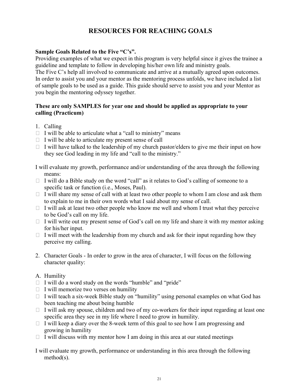# RESOURCES FOR REACHING GOALS

# Sample Goals Related to the Five "C's".

Providing examples of what we expect in this program is very helpful since it gives the trainee a guideline and template to follow in developing his/her own life and ministry goals.

The Five C's help all involved to communicate and arrive at a mutually agreed upon outcomes. In order to assist you and your mentor as the mentoring process unfolds, we have included a list of sample goals to be used as a guide. This guide should serve to assist you and your Mentor as you begin the mentoring odyssey together.

# These are only SAMPLES for year one and should be applied as appropriate to your calling (Practicum)

- 1. Calling
- $\Box$  I will be able to articulate what a "call to ministry" means
- $\Box$  I will be able to articulate my present sense of call
- $\Box$  I will have talked to the leadership of my church pastor/elders to give me their input on how they see God leading in my life and "call to the ministry."

I will evaluate my growth, performance and/or understanding of the area through the following means:

- $\Box$  I will do a Bible study on the word "call" as it relates to God's calling of someone to a specific task or function (i.e., Moses, Paul).
- $\Box$  I will share my sense of call with at least two other people to whom I am close and ask them to explain to me in their own words what I said about my sense of call.
- $\Box$  I will ask at least two other people who know me well and whom I trust what they perceive to be God's call on my life.
- $\Box$  I will write out my present sense of God's call on my life and share it with my mentor asking for his/her input.
- $\Box$  I will meet with the leadership from my church and ask for their input regarding how they perceive my calling.
- 2. Character Goals In order to grow in the area of character, I will focus on the following character quality:
- A. Humility
- $\Box$  I will do a word study on the words "humble" and "pride"
- $\Box$  I will memorize two verses on humility
- $\Box$  I will teach a six-week Bible study on "humility" using personal examples on what God has been teaching me about being humble
- $\Box$  I will ask my spouse, children and two of my co-workers for their input regarding at least one specific area they see in my life where I need to grow in humility.
- $\Box$  I will keep a diary over the 8-week term of this goal to see how I am progressing and growing in humility
- $\Box$  I will discuss with my mentor how I am doing in this area at our stated meetings

I will evaluate my growth, performance or understanding in this area through the following method(s).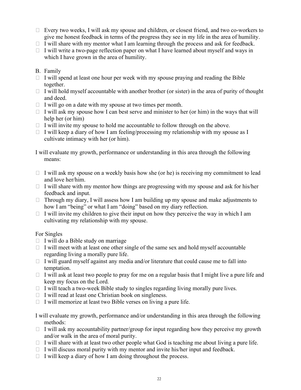- $\Box$  Every two weeks, I will ask my spouse and children, or closest friend, and two co-workers to give me honest feedback in terms of the progress they see in my life in the area of humility.
- $\Box$  I will share with my mentor what I am learning through the process and ask for feedback.
- $\Box$  I will write a two-page reflection paper on what I have learned about myself and ways in which I have grown in the area of humility.
- B. Family
- $\Box$  I will spend at least one hour per week with my spouse praying and reading the Bible together.
- $\Box$  I will hold myself accountable with another brother (or sister) in the area of purity of thought and deed.
- $\Box$  I will go on a date with my spouse at two times per month.
- $\Box$  I will ask my spouse how I can best serve and minister to her (or him) in the ways that will help her (or him)
- $\Box$  I will invite my spouse to hold me accountable to follow through on the above.
- $\Box$  I will keep a diary of how I am feeling/processing my relationship with my spouse as I cultivate intimacy with her (or him).

I will evaluate my growth, performance or understanding in this area through the following means:

- $\Box$  I will ask my spouse on a weekly basis how she (or he) is receiving my commitment to lead and love her/him.
- $\Box$  I will share with my mentor how things are progressing with my spouse and ask for his/her feedback and input.
- $\Box$  Through my diary, I will assess how I am building up my spouse and make adjustments to how I am "being" or what I am "doing" based on my diary reflection.
- $\Box$  I will invite my children to give their input on how they perceive the way in which I am cultivating my relationship with my spouse.

# For Singles

- $\Box$  I will do a Bible study on marriage
- $\Box$  I will meet with at least one other single of the same sex and hold myself accountable regarding living a morally pure life.
- $\Box$  I will guard myself against any media and/or literature that could cause me to fall into temptation.
- $\Box$  I will ask at least two people to pray for me on a regular basis that I might live a pure life and keep my focus on the Lord.
- $\Box$  I will teach a two-week Bible study to singles regarding living morally pure lives.
- $\Box$  I will read at least one Christian book on singleness.
- $\Box$  I will memorize at least two Bible verses on living a pure life.

I will evaluate my growth, performance and/or understanding in this area through the following methods:

- $\Box$  I will ask my accountability partner/group for input regarding how they perceive my growth and/or walk in the area of moral purity.
- $\Box$  I will share with at least two other people what God is teaching me about living a pure life.
- $\Box$  I will discuss moral purity with my mentor and invite his/her input and feedback.
- $\Box$  I will keep a diary of how I am doing throughout the process.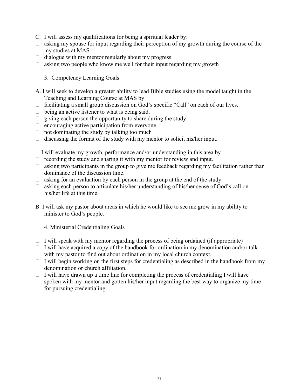- C. I will assess my qualifications for being a spiritual leader by:
- $\Box$  asking my spouse for input regarding their perception of my growth during the course of the my studies at MAS
- $\Box$  dialogue with my mentor regularly about my progress
- $\Box$  asking two people who know me well for their input regarding my growth

#### 3. Competency Learning Goals

- A. I will seek to develop a greater ability to lead Bible studies using the model taught in the Teaching and Learning Course at MAS by
- $\Box$  facilitating a small group discussion on God's specific "Call" on each of our lives.
- $\Box$  being an active listener to what is being said.
- $\Box$  giving each person the opportunity to share during the study
- $\Box$  encouraging active participation from everyone
- $\Box$  not dominating the study by talking too much
- $\Box$  discussing the format of the study with my mentor to solicit his/her input.

I will evaluate my growth, performance and/or understanding in this area by

- $\Box$  recording the study and sharing it with my mentor for review and input.
- $\Box$  asking two participants in the group to give me feedback regarding my facilitation rather than dominance of the discussion time.
- $\Box$  asking for an evaluation by each person in the group at the end of the study.
- $\Box$  asking each person to articulate his/her understanding of his/her sense of God's call on his/her life at this time.
- B. I will ask my pastor about areas in which he would like to see me grow in my ability to minister to God's people.

4. Ministerial Credentialing Goals

- $\Box$  I will speak with my mentor regarding the process of being ordained (if appropriate)
- $\Box$  I will have acquired a copy of the handbook for ordination in my denomination and/or talk with my pastor to find out about ordination in my local church context.
- $\Box$  I will begin working on the first steps for credentialing as described in the handbook from my denomination or church affiliation.
- $\Box$  I will have drawn up a time line for completing the process of credentialing I will have spoken with my mentor and gotten his/her input regarding the best way to organize my time for pursuing credentialing.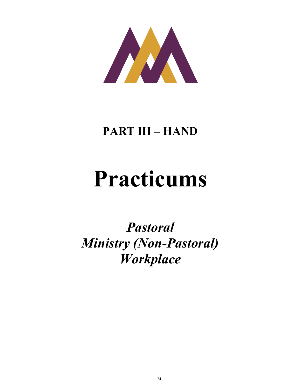

# PART III – HAND

# Practicums

Pastoral Ministry (Non-Pastoral) Workplace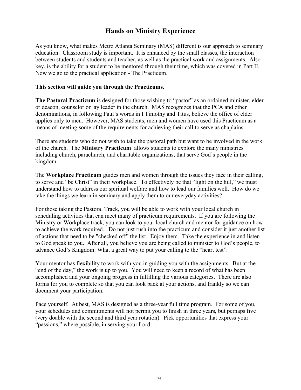# Hands on Ministry Experience

As you know, what makes Metro Atlanta Seminary (MAS) different is our approach to seminary education. Classroom study is important. It is enhanced by the small classes, the interaction between students and students and teacher, as well as the practical work and assignments. Also key, is the ability for a student to be mentored through their time, which was covered in Part II. Now we go to the practical application - The Practicum.

#### This section will guide you through the Practicums.

The Pastoral Practicum is designed for those wishing to "pastor" as an ordained minister, elder or deacon, counselor or lay leader in the church. MAS recognizes that the PCA and other denominations, in following Paul's words in I Timothy and Titus, believe the office of elder applies only to men. However, MAS students, men and women have used this Practicum as a means of meeting some of the requirements for achieving their call to serve as chaplains.

There are students who do not wish to take the pastoral path but want to be involved in the work of the church. The Ministry Practicum allows students to explore the many ministries including church, parachurch, and charitable organizations, that serve God's people in the kingdom.

The Workplace Practicum guides men and women through the issues they face in their calling, to serve and "be Christ" in their workplace. To effectively be that "light on the hill," we must understand how to address our spiritual welfare and how to lead our families well. How do we take the things we learn in seminary and apply them to our everyday activities?

For those taking the Pastoral Track, you will be able to work with your local church in scheduling activities that can meet many of practicum requirements. If you are following the Ministry or Workplace track, you can look to your local church and mentor for guidance on how to achieve the work required. Do not just rush into the practicum and consider it just another list of actions that need to be "checked off" the list. Enjoy them. Take the experience in and listen to God speak to you. After all, you believe you are being called to minister to God's people, to advance God's Kingdom. What a great way to put your calling to the "heart test".

Your mentor has flexibility to work with you in guiding you with the assignments. But at the "end of the day," the work is up to you. You will need to keep a record of what has been accomplished and your ongoing progress in fulfilling the various categories. There are also forms for you to complete so that you can look back at your actions, and frankly so we can document your participation.

Pace yourself. At best, MAS is designed as a three-year full time program. For some of you, your schedules and commitments will not permit you to finish in three years, but perhaps five (very doable with the second and third year rotation). Pick opportunities that express your "passions," where possible, in serving your Lord.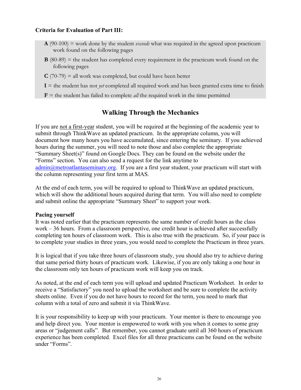## Criteria for Evaluation of Part III:

- $\mathbf{A}$  (90-100) = work done by the student *exceeds* what was required in the agreed upon practicum work found on the following pages
- $\bf{B}$  (80-89) = the student has completed every requirement in the practicum work found on the following pages
- $C(70-79)$  = all work was completed, but could have been better
- $I =$  the student has not *yet* completed all required work and has been granted extra time to finish
- **= the student has failed to complete** *all* **the required work in the time permitted**

# Walking Through the Mechanics

If you are not a first-year student, you will be required at the beginning of the academic year to submit through ThinkWave an updated practicum. In the appropriate column, you will document how many hours you have accumulated, since entering the seminary. If you achieved hours during the summer, you will need to note those and also complete the appropriate "Summary Sheet(s)" found on Google Docs. They can be found on the website under the "Forms" section. You can also send a request for the link anytime to admin@metroatlantaseminary.org. If you are a first year student, your practicum will start with the column representing your first term at MAS.

At the end of each term, you will be required to upload to ThinkWave an updated practicum, which will show the additional hours acquired during that term. You will also need to complete and submit online the appropriate "Summary Sheet" to support your work.

#### Pacing yourself

It was noted earlier that the practicum represents the same number of credit hours as the class work – 36 hours. From a classroom perspective, one credit hour is achieved after successfully completing ten hours of classroom work. This is also true with the practicum. So, if your pace is to complete your studies in three years, you would need to complete the Practicum in three years.

It is logical that if you take three hours of classroom study, you should also try to achieve during that same period thirty hours of practicum work. Likewise, if you are only taking a one hour in the classroom only ten hours of practicum work will keep you on track.

As noted, at the end of each term you will upload and updated Practicum Worksheet. In order to receive a "Satisfactory" you need to upload the worksheet and be sure to complete the activity sheets online. Even if you do not have hours to record for the term, you need to mark that column with a total of zero and submit it via ThinkWave.

It is your responsibility to keep up with your practicum. Your mentor is there to encourage you and help direct you. Your mentor is empowered to work with you when it comes to some gray areas or "judgement calls". But remember, you cannot graduate until all 360 hours of practicum experience has been completed. Excel files for all three practicums can be found on the website under "Forms".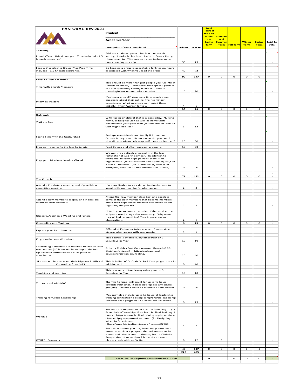| PASTORAL Rev 2021                                                                                                                                                 | Student                                                                                                                                                                                                                                                                                                   |                         |                | <b>Total</b><br><b>Hours at</b><br>the end |                                              |                  |               |               |          |
|-------------------------------------------------------------------------------------------------------------------------------------------------------------------|-----------------------------------------------------------------------------------------------------------------------------------------------------------------------------------------------------------------------------------------------------------------------------------------------------------|-------------------------|----------------|--------------------------------------------|----------------------------------------------|------------------|---------------|---------------|----------|
|                                                                                                                                                                   | Academic Year                                                                                                                                                                                                                                                                                             |                         |                | of the<br>the<br><b>Spring</b>             | <b>Summer</b><br>and<br><mark>Summe</mark> ı |                  | <b>Winter</b> | <b>Spring</b> | Total To |
|                                                                                                                                                                   | <b>Description of Work Completed</b>                                                                                                                                                                                                                                                                      | Min Hr                  | Max Hr         | <b>Term</b>                                | <b>Term</b>                                  | <b>Fall Term</b> | <b>Term</b>   | <b>Term</b>   | Date     |
| <b>Teaching</b><br>Preach/Teach (Maximum prep Time Included - 1.5<br>hr each occurence)                                                                           | Address students, preach in church or worship<br>setting. Lead a bible class. Assist in Senior Living<br>Home worship. This area can also include some<br>hours leading worship.                                                                                                                          | 50                      | 75             |                                            |                                              |                  |               |               |          |
| Lead a Discipleship Group (Max Prep Time<br>included - 1.5 hr each occurence)                                                                                     | Co-Leading a group is acceptable (only count hours<br>associated with when you lead the group).                                                                                                                                                                                                           | 40                      | 72             |                                            |                                              |                  |               |               |          |
| <b>Local Church Activities</b>                                                                                                                                    |                                                                                                                                                                                                                                                                                                           | 90                      | 147            | $\circ$                                    | o                                            | o                | o             | o             |          |
| Time With Church Members                                                                                                                                          | This should be more than just people you run into at<br>Church on Sunday. Intentional time spent - perhaps<br>in a class/meeting setting where you have a<br>meaningful encounter before or after.                                                                                                        | 10                      | 20             |                                            |                                              |                  |               |               |          |
| <b>Interview Pastors</b>                                                                                                                                          | Meet over a meal? Arrange a time to ask them<br>quesitons about their calling, their seminary<br>experience. What surprises confronted them<br>initially. Their "words" for you.                                                                                                                          | $\overline{a}$          |                |                                            |                                              |                  |               |               |          |
|                                                                                                                                                                   |                                                                                                                                                                                                                                                                                                           | 14                      | 26             | $\mathbf{o}$                               | $\circ$                                      | o                | o             | o             |          |
| Outreach                                                                                                                                                          | With Pastor or Elder if that is a possibility. Nursing                                                                                                                                                                                                                                                    |                         |                |                                            |                                              |                  |               |               |          |
| Visit the Sick                                                                                                                                                    | home, or hospital visit as well as home visits.<br>Recommend you speak with your mentor on "what a<br>visit might look like".                                                                                                                                                                             | 6                       | 12             |                                            |                                              |                  |               |               |          |
| Spend Time with the Unchurched                                                                                                                                    | Perhaps even friends and family if intentional.<br>Outreach programs. Listen - what did you hear?<br>How did you winsomely respond? Lessons learned?                                                                                                                                                      | 25                      | 50             |                                            |                                              |                  |               |               |          |
| Engage in service to the less fortunate                                                                                                                           | Food Co-ops and other outreach programs                                                                                                                                                                                                                                                                   | 15                      | 30             |                                            |                                              |                  |               |               |          |
| Engage in Missions Local or Global                                                                                                                                | We want you actively engaged with the less<br>fortunate not just "in service" In addition to<br>traditional mission trips perhaps there is an<br>organization you could coordinate spending days or<br>a week with them. (Ex. World Relief, Friends of<br>Refugees, Envision Atlanta Restoration Atlanta) | 25                      | 40             |                                            |                                              |                  |               |               |          |
|                                                                                                                                                                   |                                                                                                                                                                                                                                                                                                           | 71                      | 132            | $\mathbf{o}$                               | o                                            | o                | o             | o             |          |
| <b>The Church</b>                                                                                                                                                 |                                                                                                                                                                                                                                                                                                           |                         |                |                                            |                                              |                  |               |               |          |
| Attend a Presbytery meeting and if possible a<br>committee meeting                                                                                                | If not applicable to your denomination be sure to<br>speak with your mentor for alternative.                                                                                                                                                                                                              | $\overline{2}$          | $\overline{a}$ |                                            |                                              |                  |               |               |          |
| Attend a new member class(es) and if possible<br>interview new members.                                                                                           | Attend the new member class (es) and speak to<br>some of the new members that became members<br>about their experience and your own observations<br>regarding the process                                                                                                                                 | $\overline{\mathbf{c}}$ | $\overline{a}$ |                                            |                                              |                  |               |               |          |
| Observe/Assist in a Wedding and Funeral                                                                                                                           | Note in your summary the order of the service, the<br>scripture used, songs that were sung. Why were<br>they picked do you think? Your impression and<br>observations.                                                                                                                                    | $\overline{2}$          | 5              |                                            |                                              |                  |               |               |          |
| <b>Counseling and Training</b>                                                                                                                                    |                                                                                                                                                                                                                                                                                                           | 6                       | 13             | $\mathbf{o}$                               | o                                            | o                | o             | o             |          |
| Express your Faith Seminar                                                                                                                                        | Offered at Perimeter twice a year. If impossible<br>discuss alternatives with your mentor.                                                                                                                                                                                                                | $\overline{a}$          | 6              |                                            |                                              |                  |               |               |          |
| Kingdom Purpose Workshop                                                                                                                                          | This course is offered every other year on 3<br>Saturdays in May                                                                                                                                                                                                                                          | 10                      | 10             |                                            |                                              |                  |               |               |          |
| Counseling - Students are required to take at least<br>two courses (10 hours each) and up to the four.<br>Upload your certificate to TW as proof of<br>completion | Dr Larry Crabb's Soul Care program through ODB<br>Christian University. https://odbu.org/all-<br>courses/christian-counseling/                                                                                                                                                                            | 20                      | 40             |                                            |                                              |                  |               |               |          |
| If a student has received their Diploma in Biblical<br>Counseling from MAS                                                                                        | This is in lieu of Dr Crabb's Soul Care program not in<br>addition to it.                                                                                                                                                                                                                                 | $\mathbf 0$             | 40             |                                            |                                              |                  |               |               |          |
| <b>Teaching and Learning</b>                                                                                                                                      | This course is offered every other year on 3<br>Saturdays in May.                                                                                                                                                                                                                                         | 10                      | 10             |                                            |                                              |                  |               |               |          |
| Trip to Israel with MAS                                                                                                                                           | The Trip to Israel will count for up to 40 hours<br>towards your total. It does not replace any single<br>grouping. Details should be discussed with mentor.                                                                                                                                              | $\mathbf 0$             | 40             |                                            |                                              |                  |               |               |          |
| Training for Group Leadership                                                                                                                                     | You may also include up to 15 hours of leadership<br>training connected to discipleship/church leadership.<br>Perimeter has programs - students are welcomed                                                                                                                                              | $\mathbf{o}$            | 15             |                                            |                                              |                  |               |               |          |
| Worship                                                                                                                                                           | Students are required to take at the following<br>(1)<br>Essentials of Worship - Free from Biblical Training 3<br>hours https://www.biblicaltraining.org/essentials-<br>of-worship/gary-parrett#lectures (2) Designing<br>Worship Experiences<br>https://www.biblicaltraining.org/lecture/27966           | $\overline{a}$          | $\overline{a}$ |                                            |                                              |                  |               |               |          |
| OTHER: Seminars                                                                                                                                                   | From time to time you may have an opportunity to<br>attend a seminar / program that addresses social<br>issues and other issues of the day from a Christian<br>Perspective. If more than 2 hours for an event<br>please check with Joe W first.                                                           | o                       | 12             |                                            | o                                            |                  |               |               |          |
|                                                                                                                                                                   |                                                                                                                                                                                                                                                                                                           | 48                      | 137            | $\mathbf{o}$                               | o                                            | o                | o             | o             |          |
|                                                                                                                                                                   |                                                                                                                                                                                                                                                                                                           | 229                     | 455            |                                            |                                              |                  |               |               |          |
|                                                                                                                                                                   | <b>Total Hours Required for Graduation - 360</b>                                                                                                                                                                                                                                                          |                         |                | $\mathbf{o}$                               | o                                            | $\mathbf{o}$     | $\mathbf{o}$  | o             |          |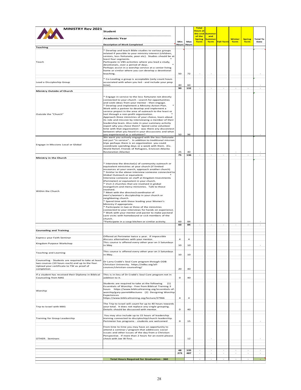| <b>MINISTRY Rev 2021</b>                                                                                                                                          | Student                                                                                                                                                                                                                                                                                                                                                                                                                                                                                                                                                                                                                                                                                                                                                                                                                                                                                                                                                              |                     |                | <b>Total</b><br><mark>Hours at</mark><br>the end | <mark>Summer</mark>        |                  |               |               |          |
|-------------------------------------------------------------------------------------------------------------------------------------------------------------------|----------------------------------------------------------------------------------------------------------------------------------------------------------------------------------------------------------------------------------------------------------------------------------------------------------------------------------------------------------------------------------------------------------------------------------------------------------------------------------------------------------------------------------------------------------------------------------------------------------------------------------------------------------------------------------------------------------------------------------------------------------------------------------------------------------------------------------------------------------------------------------------------------------------------------------------------------------------------|---------------------|----------------|--------------------------------------------------|----------------------------|------------------|---------------|---------------|----------|
|                                                                                                                                                                   | <b>Academic Year</b>                                                                                                                                                                                                                                                                                                                                                                                                                                                                                                                                                                                                                                                                                                                                                                                                                                                                                                                                                 |                     |                | of the<br><b>Spring</b>                          | and<br><mark>Summer</mark> |                  | <b>Winter</b> | <b>Spring</b> | Total To |
|                                                                                                                                                                   | <b>Description of Work Completed</b>                                                                                                                                                                                                                                                                                                                                                                                                                                                                                                                                                                                                                                                                                                                                                                                                                                                                                                                                 | Min<br><b>Hours</b> | Max<br>Hours   | <b>Term</b>                                      | <b>Term</b>                | <b>Fall Term</b> | <b>Term</b>   | <b>Term</b>   | Date     |
| <b>Teaching</b>                                                                                                                                                   |                                                                                                                                                                                                                                                                                                                                                                                                                                                                                                                                                                                                                                                                                                                                                                                                                                                                                                                                                                      |                     |                |                                                  |                            |                  |               |               |          |
| Teach                                                                                                                                                             | * Develop and teach Bible studies to various groups<br>related if possible to your ministry interest (children,<br>seniors, less fortunate, poor etc). Studies should be at<br>least four segments.<br>Particpate in VBS activities where you lead a study,<br>devotionals, over a period of days.<br>Perhaps assist in a worship service at a senior living<br>home or similar where you can develop a devotional<br>teaching.                                                                                                                                                                                                                                                                                                                                                                                                                                                                                                                                      | 50                  | 72             |                                                  |                            |                  |               |               |          |
| Lead a Discipleship Group                                                                                                                                         | * Co-Leading a group is acceptable (only count hours<br>associated with when you led - and include your prep<br>time).                                                                                                                                                                                                                                                                                                                                                                                                                                                                                                                                                                                                                                                                                                                                                                                                                                               | 40                  | 60             |                                                  |                            |                  |               |               |          |
| Ministry Outside of Church                                                                                                                                        |                                                                                                                                                                                                                                                                                                                                                                                                                                                                                                                                                                                                                                                                                                                                                                                                                                                                                                                                                                      | 90                  | 132            |                                                  |                            |                  |               |               |          |
| Outside the "Church"                                                                                                                                              | * Engage in service to the less fortunate not directly<br>connected to your church - search for opportunities<br>and seek ideas from your mentor - then engage.<br>* Develop and implement a Ministry Action Plan.<br>Work with a partner to develop and implement a<br>service project in the area of outreach to the least or<br>lost through a non-profit organization.<br>Approach three ministries of your choice, learn about<br>its role and mission by interviewing a member of their<br>leadership team. Also note in your summary activity<br>report why you chose them? Spend some volunteer<br>time with that organization - was there any disconnect<br>between what you heard in your discussions and what<br>you experienced as a volunteer?                                                                                                                                                                                                          | 50                  | 96             |                                                  |                            |                  |               |               |          |
| Engage in Missions Local or Global                                                                                                                                | We want you actively engaged with the less fortunate<br>not just "in service" In addition to traditional mission<br>trips perhaps there is an organization you could<br>coordinate spending days or a week with them. (Ex.<br>World Relief, Friends of Refugees, Envision Atlanta<br>Restoration Atlanta)                                                                                                                                                                                                                                                                                                                                                                                                                                                                                                                                                                                                                                                            | 25                  | 40             |                                                  |                            |                  |               |               |          |
| Ministry in the Church                                                                                                                                            |                                                                                                                                                                                                                                                                                                                                                                                                                                                                                                                                                                                                                                                                                                                                                                                                                                                                                                                                                                      | 75                  | 136            |                                                  |                            |                  |               |               |          |
| Within the Church                                                                                                                                                 | * Interview the director(s) of community outreach or<br>equivalent ministries at your church (if limited<br>resources at your search, approach another church)<br>* Similar to the above interview someone connected to<br>Global Outreach or equivalent.<br>Interview someone on staff at Kingdom Investments<br>(Perimeter) or equivalent in your church.<br>* Visit 2 churches that are involved in global<br>evangelism and mercy ministries. Talk to those<br>involved.<br>* Meet with the director/coordinator of<br>men's/women's discipleship in your church or<br>neighboring church.<br>* Spend time with those leading your Women's<br>Ministry if appropriate.<br>* Participate in two or three of the ministries<br>connected to your interviews for hands on experience.<br>* Work with your mentor and pastor to make pastoral<br>care visits with homebound or sick members of the<br>church.<br>*Participate in a soup kitchen or similar activity. | 60                  | 84             |                                                  |                            |                  |               |               |          |
|                                                                                                                                                                   |                                                                                                                                                                                                                                                                                                                                                                                                                                                                                                                                                                                                                                                                                                                                                                                                                                                                                                                                                                      | 60                  | 84             |                                                  |                            |                  |               |               |          |
| <b>Counseling and Training</b>                                                                                                                                    |                                                                                                                                                                                                                                                                                                                                                                                                                                                                                                                                                                                                                                                                                                                                                                                                                                                                                                                                                                      |                     |                |                                                  |                            |                  |               |               |          |
|                                                                                                                                                                   |                                                                                                                                                                                                                                                                                                                                                                                                                                                                                                                                                                                                                                                                                                                                                                                                                                                                                                                                                                      |                     |                |                                                  |                            |                  |               |               |          |
| Express your Faith Seminar                                                                                                                                        | Offered at Perimeter twice a year. If impossible<br>discuss alternatives with your mentor.<br>This course is offered every other year on 3 Saturdays                                                                                                                                                                                                                                                                                                                                                                                                                                                                                                                                                                                                                                                                                                                                                                                                                 | 4                   | $\overline{a}$ |                                                  |                            |                  |               |               |          |
| Kingdom Purpose Workshop                                                                                                                                          | in May                                                                                                                                                                                                                                                                                                                                                                                                                                                                                                                                                                                                                                                                                                                                                                                                                                                                                                                                                               | 10                  | 10             |                                                  |                            |                  |               |               |          |
| <b>Teaching and Learning</b>                                                                                                                                      | This course is offered every other year on 3 Saturdays<br>in May.                                                                                                                                                                                                                                                                                                                                                                                                                                                                                                                                                                                                                                                                                                                                                                                                                                                                                                    | 10                  | 10             |                                                  |                            |                  |               |               |          |
| Counseling - Students are required to take at least<br>two courses (10 hours each) and up to the four.<br>Upload your certificate to TW as proof of<br>completion | Dr Larry Crabb's Soul Care program through ODB<br>Christian University. https://odbu.org/all-<br>courses/christian-counseling/                                                                                                                                                                                                                                                                                                                                                                                                                                                                                                                                                                                                                                                                                                                                                                                                                                       | 20                  | 40             |                                                  |                            |                  |               |               |          |
| If a student has received their Diploma in Biblical<br>Counseling from MAS                                                                                        | This is in lieu of Dr Crabb's Soul Care program not in<br>addition to it.                                                                                                                                                                                                                                                                                                                                                                                                                                                                                                                                                                                                                                                                                                                                                                                                                                                                                            | o                   | 40             |                                                  |                            |                  |               |               |          |
| Worship                                                                                                                                                           | Students are required to take at the following<br>(1)<br>Essentials of Worship - Free from Biblical Training 3<br>hours https://www.biblicaltraining.org/essentials-of-<br>worship/gary-parrett#lectures (2) Designing Worship<br>Experiences<br>https://www.biblicaltraining.org/lecture/27966                                                                                                                                                                                                                                                                                                                                                                                                                                                                                                                                                                                                                                                                      | $\overline{a}$      | $\overline{a}$ |                                                  |                            |                  |               |               |          |
| Trip to Israel with MAS                                                                                                                                           | The Trip to Israel will count for up to 40 hours towards<br>your total. It does not replace any single grouping.<br>Details should be discussed with mentor.                                                                                                                                                                                                                                                                                                                                                                                                                                                                                                                                                                                                                                                                                                                                                                                                         | $\mathbf{o}$        | 40             |                                                  |                            |                  |               |               |          |
| Training for Group Leadership                                                                                                                                     | You may also include up to 15 hours of leadership<br>training connected to discipleship/church leadership.<br>Perimeter has programs - students are welcomed                                                                                                                                                                                                                                                                                                                                                                                                                                                                                                                                                                                                                                                                                                                                                                                                         | o                   | 15             |                                                  |                            |                  |               |               |          |
| OTHER: Seminars                                                                                                                                                   | From time to time you may have an opportunity to<br>attend a seminar / program that addresses social<br>issues and other issues of the day from a Christian<br>Perspective. If more than 2 hours for an event please<br>check with Joe W first.                                                                                                                                                                                                                                                                                                                                                                                                                                                                                                                                                                                                                                                                                                                      |                     | 12             |                                                  |                            |                  |               |               |          |
|                                                                                                                                                                   |                                                                                                                                                                                                                                                                                                                                                                                                                                                                                                                                                                                                                                                                                                                                                                                                                                                                                                                                                                      | 48                  | 135            |                                                  |                            |                  |               |               |          |
|                                                                                                                                                                   | <b>Total Hours Required for Graduation - 360</b>                                                                                                                                                                                                                                                                                                                                                                                                                                                                                                                                                                                                                                                                                                                                                                                                                                                                                                                     | 273                 | 487            |                                                  |                            |                  |               |               | $\sim$   |
|                                                                                                                                                                   |                                                                                                                                                                                                                                                                                                                                                                                                                                                                                                                                                                                                                                                                                                                                                                                                                                                                                                                                                                      |                     |                |                                                  |                            |                  |               |               |          |